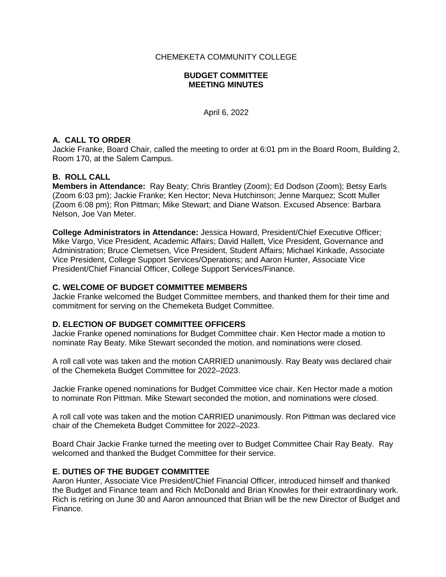CHEMEKETA COMMUNITY COLLEGE

### **BUDGET COMMITTEE MEETING MINUTES**

April 6, 2022

## **A. CALL TO ORDER**

Jackie Franke, Board Chair, called the meeting to order at 6:01 pm in the Board Room, Building 2, Room 170, at the Salem Campus.

## **B. ROLL CALL**

**Members in Attendance:** Ray Beaty; Chris Brantley (Zoom); Ed Dodson (Zoom); Betsy Earls (Zoom 6:03 pm); Jackie Franke; Ken Hector; Neva Hutchinson; Jenne Marquez; Scott Muller (Zoom 6:08 pm); Ron Pittman; Mike Stewart; and Diane Watson. Excused Absence: Barbara Nelson, Joe Van Meter.

**College Administrators in Attendance:** Jessica Howard, President/Chief Executive Officer; Mike Vargo, Vice President, Academic Affairs; David Hallett, Vice President, Governance and Administration; Bruce Clemetsen, Vice President, Student Affairs; Michael Kinkade, Associate Vice President, College Support Services/Operations; and Aaron Hunter, Associate Vice President/Chief Financial Officer, College Support Services/Finance.

#### **C. WELCOME OF BUDGET COMMITTEE MEMBERS**

Jackie Franke welcomed the Budget Committee members, and thanked them for their time and commitment for serving on the Chemeketa Budget Committee.

### **D. ELECTION OF BUDGET COMMITTEE OFFICERS**

Jackie Franke opened nominations for Budget Committee chair. Ken Hector made a motion to nominate Ray Beaty. Mike Stewart seconded the motion, and nominations were closed.

A roll call vote was taken and the motion CARRIED unanimously. Ray Beaty was declared chair of the Chemeketa Budget Committee for 2022–2023.

Jackie Franke opened nominations for Budget Committee vice chair. Ken Hector made a motion to nominate Ron Pittman. Mike Stewart seconded the motion, and nominations were closed.

A roll call vote was taken and the motion CARRIED unanimously. Ron Pittman was declared vice chair of the Chemeketa Budget Committee for 2022–2023.

Board Chair Jackie Franke turned the meeting over to Budget Committee Chair Ray Beaty. Ray welcomed and thanked the Budget Committee for their service.

### **E. DUTIES OF THE BUDGET COMMITTEE**

Aaron Hunter, Associate Vice President/Chief Financial Officer, introduced himself and thanked the Budget and Finance team and Rich McDonald and Brian Knowles for their extraordinary work. Rich is retiring on June 30 and Aaron announced that Brian will be the new Director of Budget and Finance.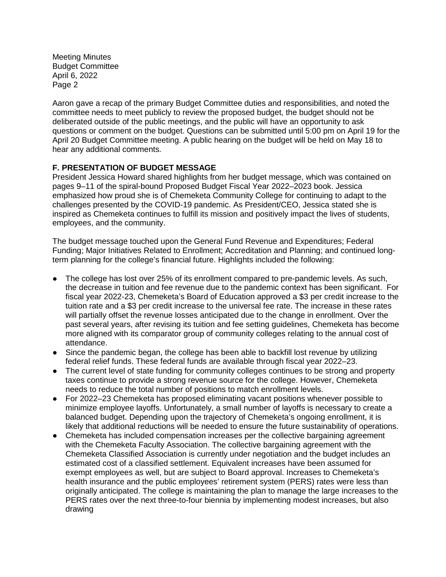Aaron gave a recap of the primary Budget Committee duties and responsibilities, and noted the committee needs to meet publicly to review the proposed budget, the budget should not be deliberated outside of the public meetings, and the public will have an opportunity to ask questions or comment on the budget. Questions can be submitted until 5:00 pm on April 19 for the April 20 Budget Committee meeting. A public hearing on the budget will be held on May 18 to hear any additional comments.

# **F. PRESENTATION OF BUDGET MESSAGE**

President Jessica Howard shared highlights from her budget message, which was contained on pages 9–11 of the spiral-bound Proposed Budget Fiscal Year 2022–2023 book. Jessica emphasized how proud she is of Chemeketa Community College for continuing to adapt to the challenges presented by the COVID-19 pandemic. As President/CEO, Jessica stated she is inspired as Chemeketa continues to fulfill its mission and positively impact the lives of students, employees, and the community.

The budget message touched upon the General Fund Revenue and Expenditures; Federal Funding; Major Initiatives Related to Enrollment; Accreditation and Planning; and continued longterm planning for the college's financial future. Highlights included the following:

- The college has lost over 25% of its enrollment compared to pre-pandemic levels. As such, the decrease in tuition and fee revenue due to the pandemic context has been significant. For fiscal year 2022-23, Chemeketa's Board of Education approved a \$3 per credit increase to the tuition rate and a \$3 per credit increase to the universal fee rate. The increase in these rates will partially offset the revenue losses anticipated due to the change in enrollment. Over the past several years, after revising its tuition and fee setting guidelines, Chemeketa has become more aligned with its comparator group of community colleges relating to the annual cost of attendance.
- Since the pandemic began, the college has been able to backfill lost revenue by utilizing federal relief funds. These federal funds are available through fiscal year 2022–23.
- The current level of state funding for community colleges continues to be strong and property taxes continue to provide a strong revenue source for the college. However, Chemeketa needs to reduce the total number of positions to match enrollment levels.
- For 2022–23 Chemeketa has proposed eliminating vacant positions whenever possible to minimize employee layoffs. Unfortunately, a small number of layoffs is necessary to create a balanced budget. Depending upon the trajectory of Chemeketa's ongoing enrollment, it is likely that additional reductions will be needed to ensure the future sustainability of operations.
- Chemeketa has included compensation increases per the collective bargaining agreement with the Chemeketa Faculty Association. The collective bargaining agreement with the Chemeketa Classified Association is currently under negotiation and the budget includes an estimated cost of a classified settlement. Equivalent increases have been assumed for exempt employees as well, but are subject to Board approval. Increases to Chemeketa's health insurance and the public employees' retirement system (PERS) rates were less than originally anticipated. The college is maintaining the plan to manage the large increases to the PERS rates over the next three-to-four biennia by implementing modest increases, but also drawing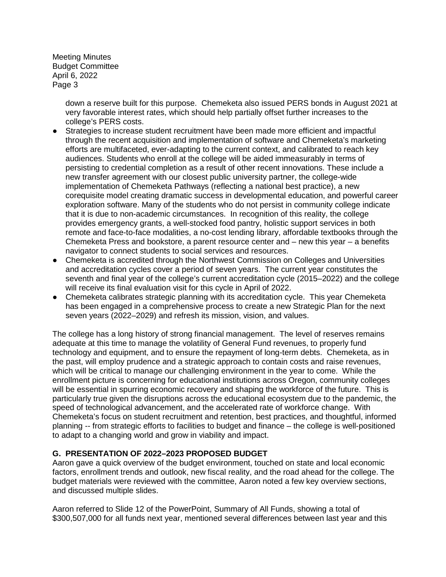> down a reserve built for this purpose. Chemeketa also issued PERS bonds in August 2021 at very favorable interest rates, which should help partially offset further increases to the college's PERS costs.

- Strategies to increase student recruitment have been made more efficient and impactful through the recent acquisition and implementation of software and Chemeketa's marketing efforts are multifaceted, ever-adapting to the current context, and calibrated to reach key audiences. Students who enroll at the college will be aided immeasurably in terms of persisting to credential completion as a result of other recent innovations. These include a new transfer agreement with our closest public university partner, the college-wide implementation of Chemeketa Pathways (reflecting a national best practice), a new corequisite model creating dramatic success in developmental education, and powerful career exploration software. Many of the students who do not persist in community college indicate that it is due to non-academic circumstances. In recognition of this reality, the college provides emergency grants, a well-stocked food pantry, holistic support services in both remote and face-to-face modalities, a no-cost lending library, affordable textbooks through the Chemeketa Press and bookstore, a parent resource center and – new this year – a benefits navigator to connect students to social services and resources.
- Chemeketa is accredited through the Northwest Commission on Colleges and Universities and accreditation cycles cover a period of seven years. The current year constitutes the seventh and final year of the college's current accreditation cycle (2015–2022) and the college will receive its final evaluation visit for this cycle in April of 2022.
- Chemeketa calibrates strategic planning with its accreditation cycle. This year Chemeketa has been engaged in a comprehensive process to create a new Strategic Plan for the next seven years (2022–2029) and refresh its mission, vision, and values.

The college has a long history of strong financial management. The level of reserves remains adequate at this time to manage the volatility of General Fund revenues, to properly fund technology and equipment, and to ensure the repayment of long-term debts. Chemeketa, as in the past, will employ prudence and a strategic approach to contain costs and raise revenues, which will be critical to manage our challenging environment in the year to come. While the enrollment picture is concerning for educational institutions across Oregon, community colleges will be essential in spurring economic recovery and shaping the workforce of the future. This is particularly true given the disruptions across the educational ecosystem due to the pandemic, the speed of technological advancement, and the accelerated rate of workforce change. With Chemeketa's focus on student recruitment and retention, best practices, and thoughtful, informed planning -- from strategic efforts to facilities to budget and finance – the college is well-positioned to adapt to a changing world and grow in viability and impact.

## **G. PRESENTATION OF 2022–2023 PROPOSED BUDGET**

Aaron gave a quick overview of the budget environment, touched on state and local economic factors, enrollment trends and outlook, new fiscal reality, and the road ahead for the college. The budget materials were reviewed with the committee, Aaron noted a few key overview sections, and discussed multiple slides.

Aaron referred to Slide 12 of the PowerPoint, Summary of All Funds, showing a total of \$300,507,000 for all funds next year, mentioned several differences between last year and this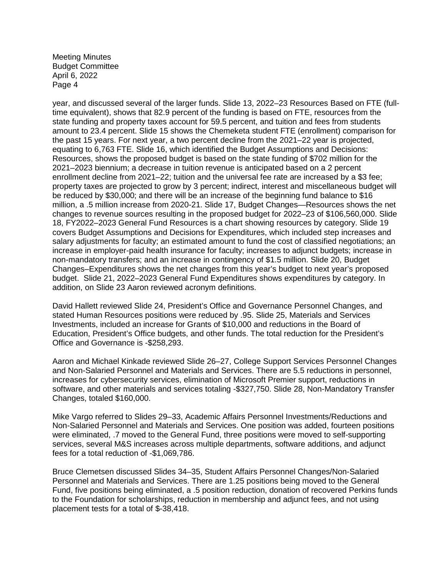year, and discussed several of the larger funds. Slide 13, 2022–23 Resources Based on FTE (fulltime equivalent), shows that 82.9 percent of the funding is based on FTE, resources from the state funding and property taxes account for 59.5 percent, and tuition and fees from students amount to 23.4 percent. Slide 15 shows the Chemeketa student FTE (enrollment) comparison for the past 15 years. For next year, a two percent decline from the 2021–22 year is projected, equating to 6,763 FTE. Slide 16, which identified the Budget Assumptions and Decisions: Resources, shows the proposed budget is based on the state funding of \$702 million for the 2021–2023 biennium; a decrease in tuition revenue is anticipated based on a 2 percent enrollment decline from 2021–22; tuition and the universal fee rate are increased by a \$3 fee; property taxes are projected to grow by 3 percent; indirect, interest and miscellaneous budget will be reduced by \$30,000; and there will be an increase of the beginning fund balance to \$16 million, a .5 million increase from 2020-21. Slide 17, Budget Changes—Resources shows the net changes to revenue sources resulting in the proposed budget for 2022–23 of \$106,560,000. Slide 18, FY2022–2023 General Fund Resources is a chart showing resources by category. Slide 19 covers Budget Assumptions and Decisions for Expenditures, which included step increases and salary adjustments for faculty; an estimated amount to fund the cost of classified negotiations; an increase in employer-paid health insurance for faculty; increases to adjunct budgets; increase in non-mandatory transfers; and an increase in contingency of \$1.5 million. Slide 20, Budget Changes–Expenditures shows the net changes from this year's budget to next year's proposed budget. Slide 21, 2022–2023 General Fund Expenditures shows expenditures by category. In addition, on Slide 23 Aaron reviewed acronym definitions.

David Hallett reviewed Slide 24, President's Office and Governance Personnel Changes, and stated Human Resources positions were reduced by .95. Slide 25, Materials and Services Investments, included an increase for Grants of \$10,000 and reductions in the Board of Education, President's Office budgets, and other funds. The total reduction for the President's Office and Governance is -\$258,293.

Aaron and Michael Kinkade reviewed Slide 26–27, College Support Services Personnel Changes and Non-Salaried Personnel and Materials and Services. There are 5.5 reductions in personnel, increases for cybersecurity services, elimination of Microsoft Premier support, reductions in software, and other materials and services totaling -\$327,750. Slide 28, Non-Mandatory Transfer Changes, totaled \$160,000.

Mike Vargo referred to Slides 29–33, Academic Affairs Personnel Investments/Reductions and Non-Salaried Personnel and Materials and Services. One position was added, fourteen positions were eliminated, .7 moved to the General Fund, three positions were moved to self-supporting services, several M&S increases across multiple departments, software additions, and adjunct fees for a total reduction of -\$1,069,786.

Bruce Clemetsen discussed Slides 34–35, Student Affairs Personnel Changes/Non-Salaried Personnel and Materials and Services. There are 1.25 positions being moved to the General Fund, five positions being eliminated, a .5 position reduction, donation of recovered Perkins funds to the Foundation for scholarships, reduction in membership and adjunct fees, and not using placement tests for a total of \$-38,418.